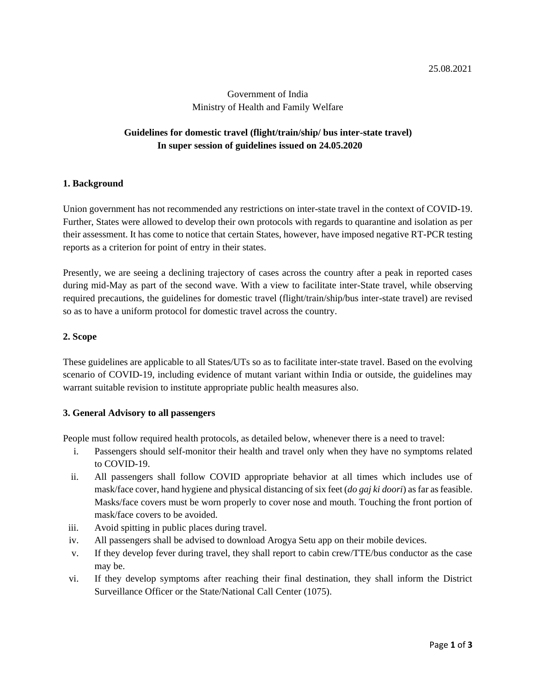# Government of India Ministry of Health and Family Welfare

# **Guidelines for domestic travel (flight/train/ship/ bus inter-state travel) In super session of guidelines issued on 24.05.2020**

#### **1. Background**

Union government has not recommended any restrictions on inter-state travel in the context of COVID-19. Further, States were allowed to develop their own protocols with regards to quarantine and isolation as per their assessment. It has come to notice that certain States, however, have imposed negative RT-PCR testing reports as a criterion for point of entry in their states.

Presently, we are seeing a declining trajectory of cases across the country after a peak in reported cases during mid-May as part of the second wave. With a view to facilitate inter-State travel, while observing required precautions, the guidelines for domestic travel (flight/train/ship/bus inter-state travel) are revised so as to have a uniform protocol for domestic travel across the country.

#### **2. Scope**

These guidelines are applicable to all States/UTs so as to facilitate inter-state travel. Based on the evolving scenario of COVID-19, including evidence of mutant variant within India or outside, the guidelines may warrant suitable revision to institute appropriate public health measures also.

#### **3. General Advisory to all passengers**

People must follow required health protocols, as detailed below, whenever there is a need to travel:

- i. Passengers should self-monitor their health and travel only when they have no symptoms related to COVID-19.
- ii. All passengers shall follow COVID appropriate behavior at all times which includes use of mask/face cover, hand hygiene and physical distancing of six feet (*do gaj ki doori*) as far as feasible. Masks/face covers must be worn properly to cover nose and mouth. Touching the front portion of mask/face covers to be avoided.
- iii. Avoid spitting in public places during travel.
- iv. All passengers shall be advised to download Arogya Setu app on their mobile devices.
- v. If they develop fever during travel, they shall report to cabin crew/TTE/bus conductor as the case may be.
- vi. If they develop symptoms after reaching their final destination, they shall inform the District Surveillance Officer or the State/National Call Center (1075).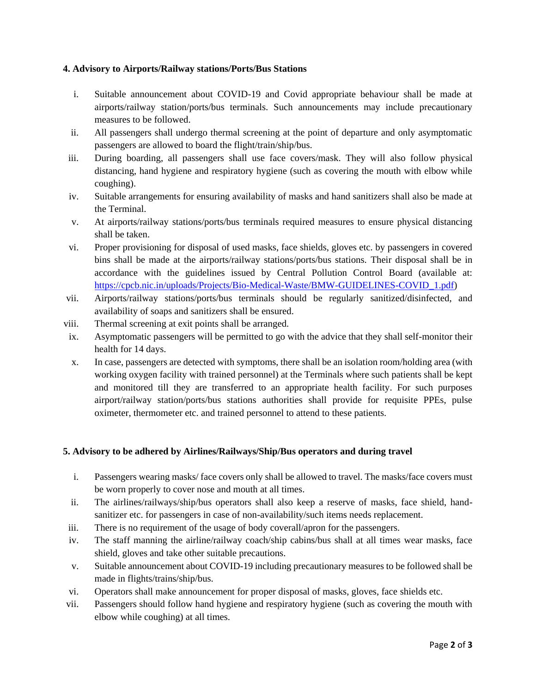### **4. Advisory to Airports/Railway stations/Ports/Bus Stations**

- i. Suitable announcement about COVID-19 and Covid appropriate behaviour shall be made at airports/railway station/ports/bus terminals. Such announcements may include precautionary measures to be followed.
- ii. All passengers shall undergo thermal screening at the point of departure and only asymptomatic passengers are allowed to board the flight/train/ship/bus.
- iii. During boarding, all passengers shall use face covers/mask. They will also follow physical distancing, hand hygiene and respiratory hygiene (such as covering the mouth with elbow while coughing).
- iv. Suitable arrangements for ensuring availability of masks and hand sanitizers shall also be made at the Terminal.
- v. At airports/railway stations/ports/bus terminals required measures to ensure physical distancing shall be taken.
- vi. Proper provisioning for disposal of used masks, face shields, gloves etc. by passengers in covered bins shall be made at the airports/railway stations/ports/bus stations. Their disposal shall be in accordance with the guidelines issued by Central Pollution Control Board (available at: [https://cpcb.nic.in/uploads/Projects/Bio-Medical-Waste/BMW-GUIDELINES-COVID\\_1.pdf\)](https://cpcb.nic.in/uploads/Projects/Bio-Medical-Waste/BMW-GUIDELINES-COVID_1.pdf)
- vii. Airports/railway stations/ports/bus terminals should be regularly sanitized/disinfected, and availability of soaps and sanitizers shall be ensured.
- viii. Thermal screening at exit points shall be arranged.
- ix. Asymptomatic passengers will be permitted to go with the advice that they shall self-monitor their health for 14 days.
- x. In case, passengers are detected with symptoms, there shall be an isolation room/holding area (with working oxygen facility with trained personnel) at the Terminals where such patients shall be kept and monitored till they are transferred to an appropriate health facility. For such purposes airport/railway station/ports/bus stations authorities shall provide for requisite PPEs, pulse oximeter, thermometer etc. and trained personnel to attend to these patients.

## **5. Advisory to be adhered by Airlines/Railways/Ship/Bus operators and during travel**

- i. Passengers wearing masks/ face covers only shall be allowed to travel. The masks/face covers must be worn properly to cover nose and mouth at all times.
- ii. The airlines/railways/ship/bus operators shall also keep a reserve of masks, face shield, handsanitizer etc. for passengers in case of non-availability/such items needs replacement.
- iii. There is no requirement of the usage of body coverall/apron for the passengers.
- iv. The staff manning the airline/railway coach/ship cabins/bus shall at all times wear masks, face shield, gloves and take other suitable precautions.
- v. Suitable announcement about COVID-19 including precautionary measures to be followed shall be made in flights/trains/ship/bus.
- vi. Operators shall make announcement for proper disposal of masks, gloves, face shields etc.
- vii. Passengers should follow hand hygiene and respiratory hygiene (such as covering the mouth with elbow while coughing) at all times.